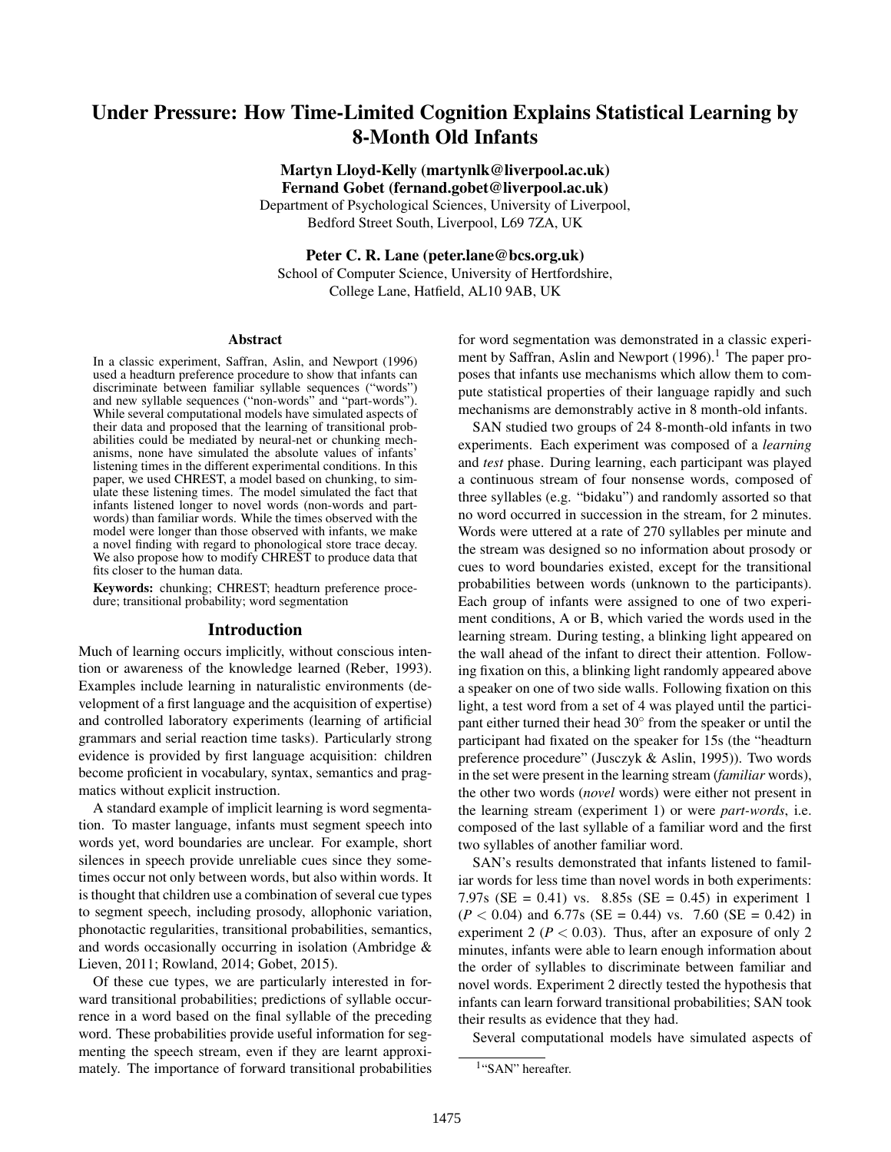# Under Pressure: How Time-Limited Cognition Explains Statistical Learning by 8-Month Old Infants

Martyn Lloyd-Kelly (martynlk@liverpool.ac.uk) Fernand Gobet (fernand.gobet@liverpool.ac.uk)

Department of Psychological Sciences, University of Liverpool, Bedford Street South, Liverpool, L69 7ZA, UK

Peter C. R. Lane (peter.lane@bcs.org.uk)

School of Computer Science, University of Hertfordshire, College Lane, Hatfield, AL10 9AB, UK

#### Abstract

In a classic experiment, Saffran, Aslin, and Newport (1996) used a headturn preference procedure to show that infants can discriminate between familiar syllable sequences ("words") and new syllable sequences ("non-words" and "part-words"). While several computational models have simulated aspects of their data and proposed that the learning of transitional probabilities could be mediated by neural-net or chunking mechanisms, none have simulated the absolute values of infants' listening times in the different experimental conditions. In this paper, we used CHREST, a model based on chunking, to simulate these listening times. The model simulated the fact that infants listened longer to novel words (non-words and partwords) than familiar words. While the times observed with the model were longer than those observed with infants, we make a novel finding with regard to phonological store trace decay. We also propose how to modify CHREST to produce data that fits closer to the human data.

Keywords: chunking; CHREST; headturn preference procedure; transitional probability; word segmentation

### Introduction

Much of learning occurs implicitly, without conscious intention or awareness of the knowledge learned (Reber, 1993). Examples include learning in naturalistic environments (development of a first language and the acquisition of expertise) and controlled laboratory experiments (learning of artificial grammars and serial reaction time tasks). Particularly strong evidence is provided by first language acquisition: children become proficient in vocabulary, syntax, semantics and pragmatics without explicit instruction.

A standard example of implicit learning is word segmentation. To master language, infants must segment speech into words yet, word boundaries are unclear. For example, short silences in speech provide unreliable cues since they sometimes occur not only between words, but also within words. It is thought that children use a combination of several cue types to segment speech, including prosody, allophonic variation, phonotactic regularities, transitional probabilities, semantics, and words occasionally occurring in isolation (Ambridge & Lieven, 2011; Rowland, 2014; Gobet, 2015).

Of these cue types, we are particularly interested in forward transitional probabilities; predictions of syllable occurrence in a word based on the final syllable of the preceding word. These probabilities provide useful information for segmenting the speech stream, even if they are learnt approximately. The importance of forward transitional probabilities for word segmentation was demonstrated in a classic experiment by Saffran, Aslin and Newport  $(1996).$ <sup>1</sup> The paper proposes that infants use mechanisms which allow them to compute statistical properties of their language rapidly and such mechanisms are demonstrably active in 8 month-old infants.

SAN studied two groups of 24 8-month-old infants in two experiments. Each experiment was composed of a *learning* and *test* phase. During learning, each participant was played a continuous stream of four nonsense words, composed of three syllables (e.g. "bidaku") and randomly assorted so that no word occurred in succession in the stream, for 2 minutes. Words were uttered at a rate of 270 syllables per minute and the stream was designed so no information about prosody or cues to word boundaries existed, except for the transitional probabilities between words (unknown to the participants). Each group of infants were assigned to one of two experiment conditions, A or B, which varied the words used in the learning stream. During testing, a blinking light appeared on the wall ahead of the infant to direct their attention. Following fixation on this, a blinking light randomly appeared above a speaker on one of two side walls. Following fixation on this light, a test word from a set of 4 was played until the participant either turned their head 30° from the speaker or until the participant had fixated on the speaker for 15s (the "headturn preference procedure" (Jusczyk & Aslin, 1995)). Two words in the set were present in the learning stream (*familiar* words), the other two words (*novel* words) were either not present in the learning stream (experiment 1) or were *part-words*, i.e. composed of the last syllable of a familiar word and the first two syllables of another familiar word.

SAN's results demonstrated that infants listened to familiar words for less time than novel words in both experiments: 7.97s (SE =  $0.41$ ) vs. 8.85s (SE =  $0.45$ ) in experiment 1  $(P < 0.04)$  and 6.77s (SE = 0.44) vs. 7.60 (SE = 0.42) in experiment 2 ( $P < 0.03$ ). Thus, after an exposure of only 2 minutes, infants were able to learn enough information about the order of syllables to discriminate between familiar and novel words. Experiment 2 directly tested the hypothesis that infants can learn forward transitional probabilities; SAN took their results as evidence that they had.

Several computational models have simulated aspects of

<sup>&</sup>lt;sup>1</sup>"SAN" hereafter.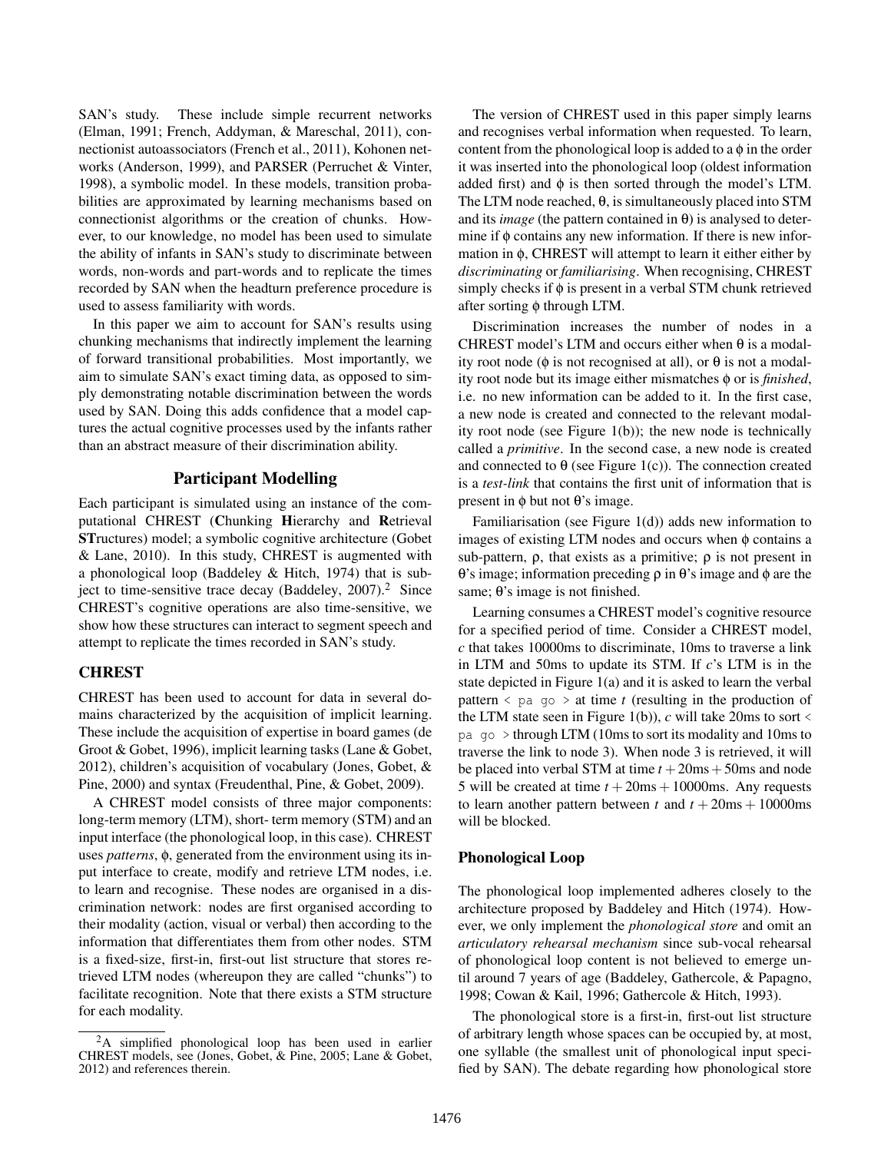SAN's study. These include simple recurrent networks (Elman, 1991; French, Addyman, & Mareschal, 2011), connectionist autoassociators (French et al., 2011), Kohonen networks (Anderson, 1999), and PARSER (Perruchet & Vinter, 1998), a symbolic model. In these models, transition probabilities are approximated by learning mechanisms based on connectionist algorithms or the creation of chunks. However, to our knowledge, no model has been used to simulate the ability of infants in SAN's study to discriminate between words, non-words and part-words and to replicate the times recorded by SAN when the headturn preference procedure is used to assess familiarity with words.

In this paper we aim to account for SAN's results using chunking mechanisms that indirectly implement the learning of forward transitional probabilities. Most importantly, we aim to simulate SAN's exact timing data, as opposed to simply demonstrating notable discrimination between the words used by SAN. Doing this adds confidence that a model captures the actual cognitive processes used by the infants rather than an abstract measure of their discrimination ability.

## Participant Modelling

Each participant is simulated using an instance of the computational CHREST (Chunking Hierarchy and Retrieval STructures) model; a symbolic cognitive architecture (Gobet & Lane, 2010). In this study, CHREST is augmented with a phonological loop (Baddeley & Hitch, 1974) that is subject to time-sensitive trace decay (Baddeley,  $2007$ ).<sup>2</sup> Since CHREST's cognitive operations are also time-sensitive, we show how these structures can interact to segment speech and attempt to replicate the times recorded in SAN's study.

## **CHREST**

CHREST has been used to account for data in several domains characterized by the acquisition of implicit learning. These include the acquisition of expertise in board games (de Groot & Gobet, 1996), implicit learning tasks (Lane & Gobet, 2012), children's acquisition of vocabulary (Jones, Gobet, & Pine, 2000) and syntax (Freudenthal, Pine, & Gobet, 2009).

A CHREST model consists of three major components: long-term memory (LTM), short- term memory (STM) and an input interface (the phonological loop, in this case). CHREST uses *patterns*, φ, generated from the environment using its input interface to create, modify and retrieve LTM nodes, i.e. to learn and recognise. These nodes are organised in a discrimination network: nodes are first organised according to their modality (action, visual or verbal) then according to the information that differentiates them from other nodes. STM is a fixed-size, first-in, first-out list structure that stores retrieved LTM nodes (whereupon they are called "chunks") to facilitate recognition. Note that there exists a STM structure for each modality.

The version of CHREST used in this paper simply learns and recognises verbal information when requested. To learn, content from the phonological loop is added to a  $\phi$  in the order it was inserted into the phonological loop (oldest information added first) and  $\phi$  is then sorted through the model's LTM. The LTM node reached, θ, is simultaneously placed into STM and its *image* (the pattern contained in  $\theta$ ) is analysed to determine if  $\phi$  contains any new information. If there is new information in φ, CHREST will attempt to learn it either either by *discriminating* or *familiarising*. When recognising, CHREST simply checks if  $\phi$  is present in a verbal STM chunk retrieved after sorting φ through LTM.

Discrimination increases the number of nodes in a CHREST model's LTM and occurs either when  $\theta$  is a modality root node ( $\phi$  is not recognised at all), or  $\theta$  is not a modality root node but its image either mismatches φ or is *finished*, i.e. no new information can be added to it. In the first case, a new node is created and connected to the relevant modality root node (see Figure 1(b)); the new node is technically called a *primitive*. In the second case, a new node is created and connected to  $\theta$  (see Figure 1(c)). The connection created is a *test-link* that contains the first unit of information that is present in φ but not θ's image.

Familiarisation (see Figure 1(d)) adds new information to images of existing LTM nodes and occurs when  $\phi$  contains a sub-pattern,  $\rho$ , that exists as a primitive;  $\rho$  is not present in θ's image; information preceding ρ in θ's image and φ are the same; θ's image is not finished.

Learning consumes a CHREST model's cognitive resource for a specified period of time. Consider a CHREST model, *c* that takes 10000ms to discriminate, 10ms to traverse a link in LTM and 50ms to update its STM. If *c*'s LTM is in the state depicted in Figure 1(a) and it is asked to learn the verbal pattern  $\leq$  pa go  $\geq$  at time *t* (resulting in the production of the LTM state seen in Figure 1(b)),  $c$  will take 20ms to sort  $\le$ pa go > through LTM (10ms to sort its modality and 10ms to traverse the link to node 3). When node 3 is retrieved, it will be placed into verbal STM at time  $t + 20$ ms + 50ms and node 5 will be created at time  $t + 20ms + 10000ms$ . Any requests to learn another pattern between *t* and  $t + 20ms + 10000ms$ will be blocked.

### Phonological Loop

The phonological loop implemented adheres closely to the architecture proposed by Baddeley and Hitch (1974). However, we only implement the *phonological store* and omit an *articulatory rehearsal mechanism* since sub-vocal rehearsal of phonological loop content is not believed to emerge until around 7 years of age (Baddeley, Gathercole, & Papagno, 1998; Cowan & Kail, 1996; Gathercole & Hitch, 1993).

The phonological store is a first-in, first-out list structure of arbitrary length whose spaces can be occupied by, at most, one syllable (the smallest unit of phonological input specified by SAN). The debate regarding how phonological store

<sup>2</sup>A simplified phonological loop has been used in earlier CHREST models, see (Jones, Gobet, & Pine, 2005; Lane & Gobet, 2012) and references therein.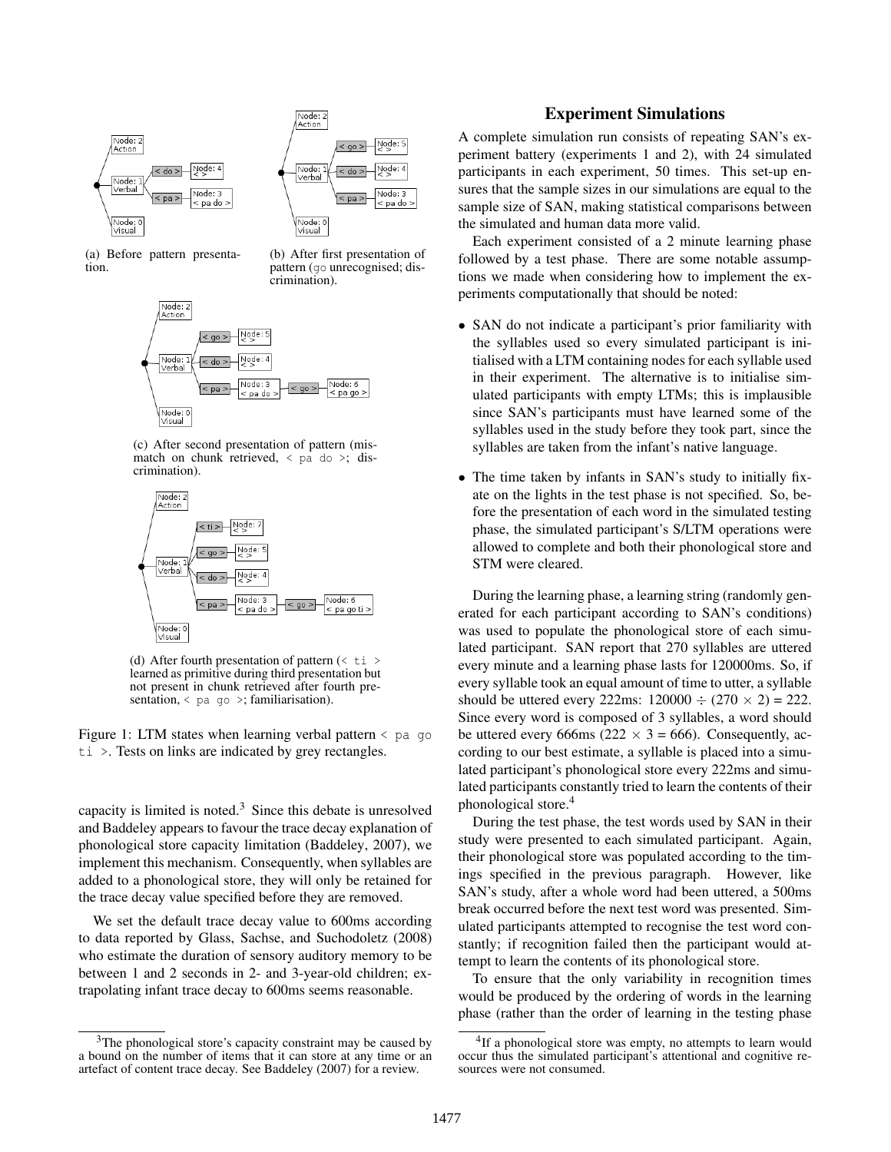



(a) Before pattern presentation.

(b) After first presentation of pattern (go unrecognised; discrimination).



(c) After second presentation of pattern (mismatch on chunk retrieved,  $\langle$  pa do  $\rangle$ ; discrimination).



(d) After fourth presentation of pattern  $(*t* i > 1)$ learned as primitive during third presentation but not present in chunk retrieved after fourth presentation,  $\lt$  pa go  $\gt$ ; familiarisation).

Figure 1: LTM states when learning verbal pattern  $\le$  pa go ti >. Tests on links are indicated by grey rectangles.

capacity is limited is noted. $3$  Since this debate is unresolved and Baddeley appears to favour the trace decay explanation of phonological store capacity limitation (Baddeley, 2007), we implement this mechanism. Consequently, when syllables are added to a phonological store, they will only be retained for the trace decay value specified before they are removed.

We set the default trace decay value to 600ms according to data reported by Glass, Sachse, and Suchodoletz (2008) who estimate the duration of sensory auditory memory to be between 1 and 2 seconds in 2- and 3-year-old children; extrapolating infant trace decay to 600ms seems reasonable.

### Experiment Simulations

A complete simulation run consists of repeating SAN's experiment battery (experiments 1 and 2), with 24 simulated participants in each experiment, 50 times. This set-up ensures that the sample sizes in our simulations are equal to the sample size of SAN, making statistical comparisons between the simulated and human data more valid.

Each experiment consisted of a 2 minute learning phase followed by a test phase. There are some notable assumptions we made when considering how to implement the experiments computationally that should be noted:

- SAN do not indicate a participant's prior familiarity with the syllables used so every simulated participant is initialised with a LTM containing nodes for each syllable used in their experiment. The alternative is to initialise simulated participants with empty LTMs; this is implausible since SAN's participants must have learned some of the syllables used in the study before they took part, since the syllables are taken from the infant's native language.
- The time taken by infants in SAN's study to initially fixate on the lights in the test phase is not specified. So, before the presentation of each word in the simulated testing phase, the simulated participant's S/LTM operations were allowed to complete and both their phonological store and STM were cleared.

During the learning phase, a learning string (randomly generated for each participant according to SAN's conditions) was used to populate the phonological store of each simulated participant. SAN report that 270 syllables are uttered every minute and a learning phase lasts for 120000ms. So, if every syllable took an equal amount of time to utter, a syllable should be uttered every 222ms:  $120000 \div (270 \times 2) = 222$ . Since every word is composed of 3 syllables, a word should be uttered every 666ms (222  $\times$  3 = 666). Consequently, according to our best estimate, a syllable is placed into a simulated participant's phonological store every 222ms and simulated participants constantly tried to learn the contents of their phonological store.<sup>4</sup>

During the test phase, the test words used by SAN in their study were presented to each simulated participant. Again, their phonological store was populated according to the timings specified in the previous paragraph. However, like SAN's study, after a whole word had been uttered, a 500ms break occurred before the next test word was presented. Simulated participants attempted to recognise the test word constantly; if recognition failed then the participant would attempt to learn the contents of its phonological store.

To ensure that the only variability in recognition times would be produced by the ordering of words in the learning phase (rather than the order of learning in the testing phase

<sup>&</sup>lt;sup>3</sup>The phonological store's capacity constraint may be caused by a bound on the number of items that it can store at any time or an artefact of content trace decay. See Baddeley (2007) for a review.

<sup>&</sup>lt;sup>4</sup>If a phonological store was empty, no attempts to learn would occur thus the simulated participant's attentional and cognitive resources were not consumed.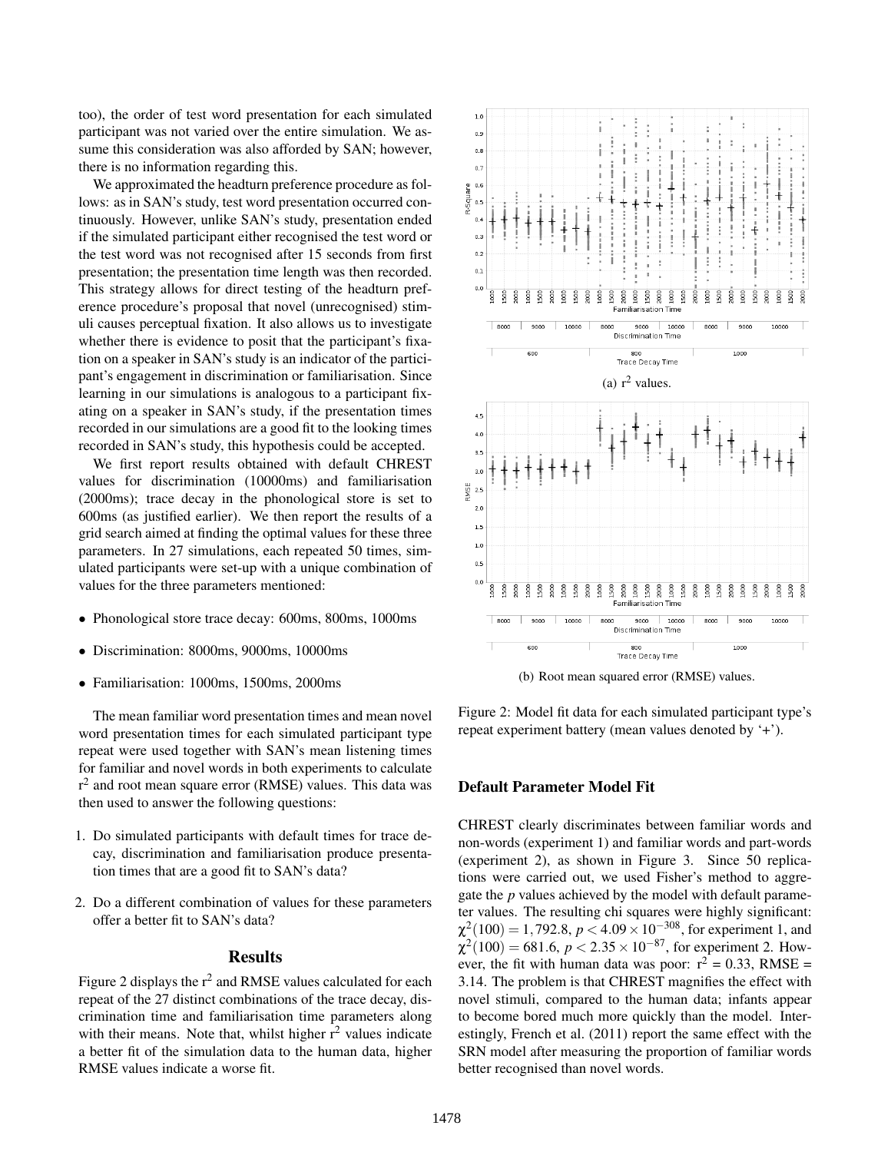too), the order of test word presentation for each simulated participant was not varied over the entire simulation. We assume this consideration was also afforded by SAN; however, there is no information regarding this.

We approximated the headturn preference procedure as follows: as in SAN's study, test word presentation occurred continuously. However, unlike SAN's study, presentation ended if the simulated participant either recognised the test word or the test word was not recognised after 15 seconds from first presentation; the presentation time length was then recorded. This strategy allows for direct testing of the headturn preference procedure's proposal that novel (unrecognised) stimuli causes perceptual fixation. It also allows us to investigate whether there is evidence to posit that the participant's fixation on a speaker in SAN's study is an indicator of the participant's engagement in discrimination or familiarisation. Since learning in our simulations is analogous to a participant fixating on a speaker in SAN's study, if the presentation times recorded in our simulations are a good fit to the looking times recorded in SAN's study, this hypothesis could be accepted.

We first report results obtained with default CHREST values for discrimination (10000ms) and familiarisation (2000ms); trace decay in the phonological store is set to 600ms (as justified earlier). We then report the results of a grid search aimed at finding the optimal values for these three parameters. In 27 simulations, each repeated 50 times, simulated participants were set-up with a unique combination of values for the three parameters mentioned:

- Phonological store trace decay: 600ms, 800ms, 1000ms
- Discrimination: 8000ms, 9000ms, 10000ms
- Familiarisation: 1000ms, 1500ms, 2000ms

The mean familiar word presentation times and mean novel word presentation times for each simulated participant type repeat were used together with SAN's mean listening times for familiar and novel words in both experiments to calculate r<sup>2</sup> and root mean square error (RMSE) values. This data was then used to answer the following questions:

- 1. Do simulated participants with default times for trace decay, discrimination and familiarisation produce presentation times that are a good fit to SAN's data?
- 2. Do a different combination of values for these parameters offer a better fit to SAN's data?

#### **Results**

Figure 2 displays the  $r^2$  and RMSE values calculated for each repeat of the 27 distinct combinations of the trace decay, discrimination time and familiarisation time parameters along with their means. Note that, whilst higher  $r^2$  values indicate a better fit of the simulation data to the human data, higher RMSE values indicate a worse fit.



(b) Root mean squared error (RMSE) values.

Figure 2: Model fit data for each simulated participant type's repeat experiment battery (mean values denoted by '+').

### Default Parameter Model Fit

CHREST clearly discriminates between familiar words and non-words (experiment 1) and familiar words and part-words (experiment 2), as shown in Figure 3. Since 50 replications were carried out, we used Fisher's method to aggregate the *p* values achieved by the model with default parameter values. The resulting chi squares were highly significant:  $\chi^2(100) = 1,792.8, p < 4.09 \times 10^{-308}$ , for experiment 1, and  $\chi^2(100) = 681.6, p < 2.35 \times 10^{-87}$ , for experiment 2. However, the fit with human data was poor:  $r^2 = 0.33$ , RMSE = 3.14. The problem is that CHREST magnifies the effect with novel stimuli, compared to the human data; infants appear to become bored much more quickly than the model. Interestingly, French et al. (2011) report the same effect with the SRN model after measuring the proportion of familiar words better recognised than novel words.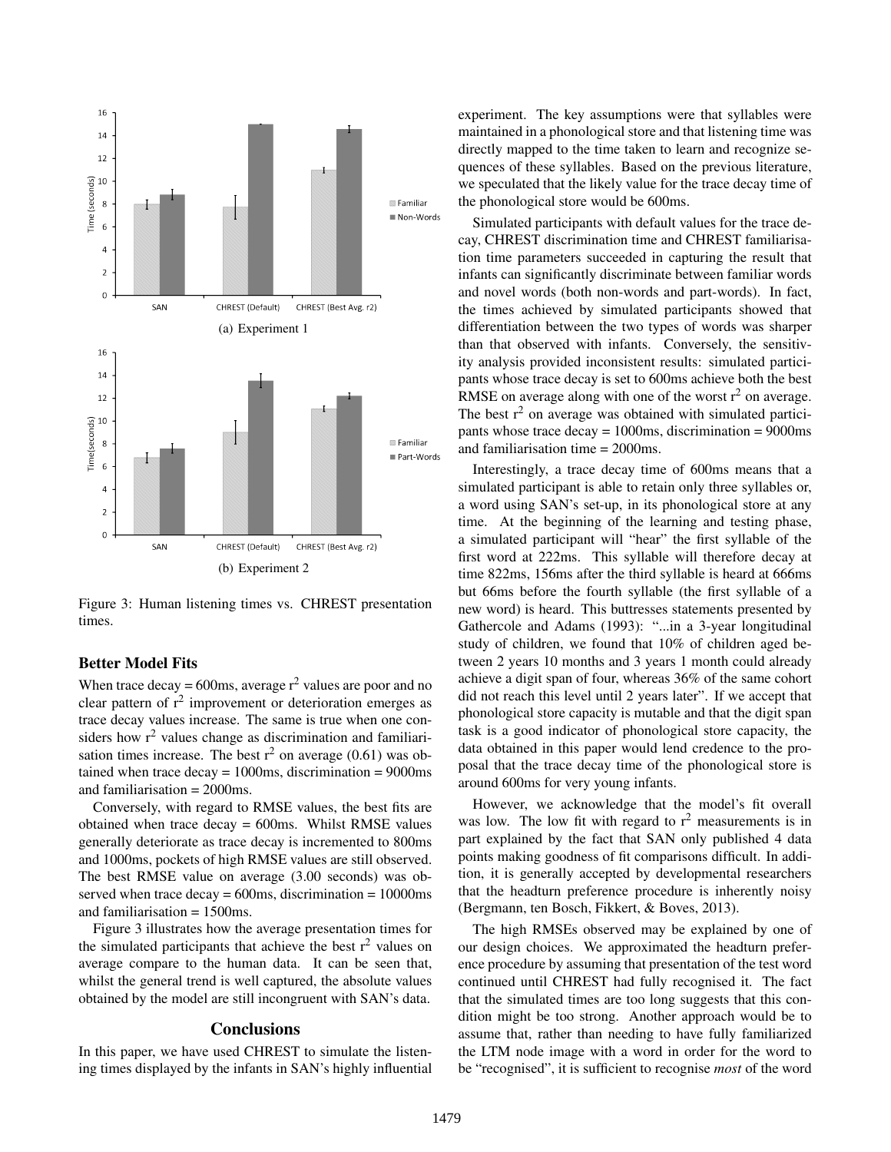

Figure 3: Human listening times vs. CHREST presentation times.

### Better Model Fits

When trace decay =  $600$ ms, average  $r^2$  values are poor and no clear pattern of  $r^2$  improvement or deterioration emerges as trace decay values increase. The same is true when one considers how  $r<sup>2</sup>$  values change as discrimination and familiarisation times increase. The best  $r^2$  on average (0.61) was obtained when trace  $decav = 1000$ ms, discrimination = 9000ms and familiarisation = 2000ms.

Conversely, with regard to RMSE values, the best fits are obtained when trace decay = 600ms. Whilst RMSE values generally deteriorate as trace decay is incremented to 800ms and 1000ms, pockets of high RMSE values are still observed. The best RMSE value on average (3.00 seconds) was observed when trace decay  $= 600$ ms, discrimination  $= 10000$ ms and familiarisation = 1500ms.

Figure 3 illustrates how the average presentation times for the simulated participants that achieve the best  $r^2$  values on average compare to the human data. It can be seen that, whilst the general trend is well captured, the absolute values obtained by the model are still incongruent with SAN's data.

### **Conclusions**

In this paper, we have used CHREST to simulate the listening times displayed by the infants in SAN's highly influential experiment. The key assumptions were that syllables were maintained in a phonological store and that listening time was directly mapped to the time taken to learn and recognize sequences of these syllables. Based on the previous literature, we speculated that the likely value for the trace decay time of the phonological store would be 600ms.

Simulated participants with default values for the trace decay, CHREST discrimination time and CHREST familiarisation time parameters succeeded in capturing the result that infants can significantly discriminate between familiar words and novel words (both non-words and part-words). In fact, the times achieved by simulated participants showed that differentiation between the two types of words was sharper than that observed with infants. Conversely, the sensitivity analysis provided inconsistent results: simulated participants whose trace decay is set to 600ms achieve both the best RMSE on average along with one of the worst  $r^2$  on average. The best  $r^2$  on average was obtained with simulated participants whose trace decay = 1000ms, discrimination = 9000ms and familiarisation time = 2000ms.

Interestingly, a trace decay time of 600ms means that a simulated participant is able to retain only three syllables or, a word using SAN's set-up, in its phonological store at any time. At the beginning of the learning and testing phase, a simulated participant will "hear" the first syllable of the first word at 222ms. This syllable will therefore decay at time 822ms, 156ms after the third syllable is heard at 666ms but 66ms before the fourth syllable (the first syllable of a new word) is heard. This buttresses statements presented by Gathercole and Adams (1993): "...in a 3-year longitudinal study of children, we found that 10% of children aged between 2 years 10 months and 3 years 1 month could already achieve a digit span of four, whereas 36% of the same cohort did not reach this level until 2 years later". If we accept that phonological store capacity is mutable and that the digit span task is a good indicator of phonological store capacity, the data obtained in this paper would lend credence to the proposal that the trace decay time of the phonological store is around 600ms for very young infants.

However, we acknowledge that the model's fit overall was low. The low fit with regard to  $r^2$  measurements is in part explained by the fact that SAN only published 4 data points making goodness of fit comparisons difficult. In addition, it is generally accepted by developmental researchers that the headturn preference procedure is inherently noisy (Bergmann, ten Bosch, Fikkert, & Boves, 2013).

The high RMSEs observed may be explained by one of our design choices. We approximated the headturn preference procedure by assuming that presentation of the test word continued until CHREST had fully recognised it. The fact that the simulated times are too long suggests that this condition might be too strong. Another approach would be to assume that, rather than needing to have fully familiarized the LTM node image with a word in order for the word to be "recognised", it is sufficient to recognise *most* of the word